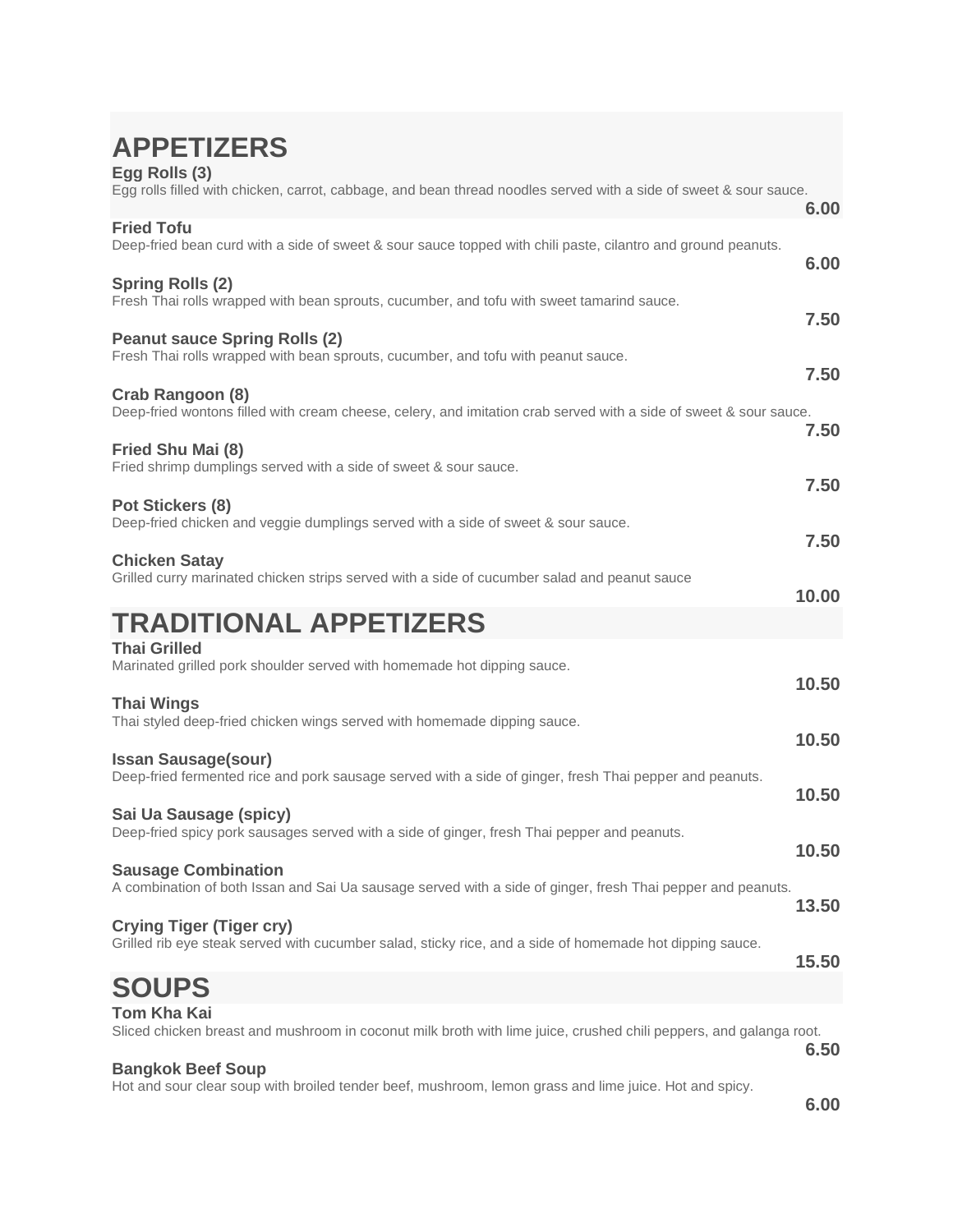| <b>APPETIZERS</b><br>Egg Rolls (3)<br>Egg rolls filled with chicken, carrot, cabbage, and bean thread noodles served with a side of sweet & sour sauce. |       |
|---------------------------------------------------------------------------------------------------------------------------------------------------------|-------|
| <b>Fried Tofu</b>                                                                                                                                       | 6.00  |
| Deep-fried bean curd with a side of sweet & sour sauce topped with chili paste, cilantro and ground peanuts.                                            | 6.00  |
| <b>Spring Rolls (2)</b><br>Fresh Thai rolls wrapped with bean sprouts, cucumber, and tofu with sweet tamarind sauce.                                    | 7.50  |
| <b>Peanut sauce Spring Rolls (2)</b><br>Fresh Thai rolls wrapped with bean sprouts, cucumber, and tofu with peanut sauce.                               | 7.50  |
| Crab Rangoon (8)<br>Deep-fried wontons filled with cream cheese, celery, and imitation crab served with a side of sweet & sour sauce.                   | 7.50  |
| Fried Shu Mai (8)<br>Fried shrimp dumplings served with a side of sweet & sour sauce.                                                                   | 7.50  |
| Pot Stickers (8)<br>Deep-fried chicken and veggie dumplings served with a side of sweet & sour sauce.                                                   | 7.50  |
| <b>Chicken Satay</b><br>Grilled curry marinated chicken strips served with a side of cucumber salad and peanut sauce                                    | 10.00 |
| <b>TRADITIONAL APPETIZERS</b>                                                                                                                           |       |
| <b>Thai Grilled</b><br>Marinated grilled pork shoulder served with homemade hot dipping sauce.                                                          | 10.50 |
| <b>Thai Wings</b><br>Thai styled deep-fried chicken wings served with homemade dipping sauce.                                                           | 10.50 |
| <b>Issan Sausage(sour)</b><br>Deep-fried fermented rice and pork sausage served with a side of ginger, fresh Thai pepper and peanuts.                   | 10.50 |
| Sai Ua Sausage (spicy)<br>Deep-fried spicy pork sausages served with a side of ginger, fresh Thai pepper and peanuts.                                   | 10.50 |
| <b>Sausage Combination</b><br>A combination of both Issan and Sai Ua sausage served with a side of ginger, fresh Thai pepper and peanuts.               | 13.50 |
| <b>Crying Tiger (Tiger cry)</b><br>Grilled rib eye steak served with cucumber salad, sticky rice, and a side of homemade hot dipping sauce.             | 15.50 |
| <b>SOUPS</b>                                                                                                                                            |       |
| <b>Tom Kha Kai</b><br>Sliced chicken breast and mushroom in coconut milk broth with lime juice, crushed chili peppers, and galanga root.                | 6.50  |
| <b>Bangkok Beef Soup</b><br>Hot and sour clear soup with broiled tender beef, mushroom, lemon grass and lime juice. Hot and spicy.                      | 6.00  |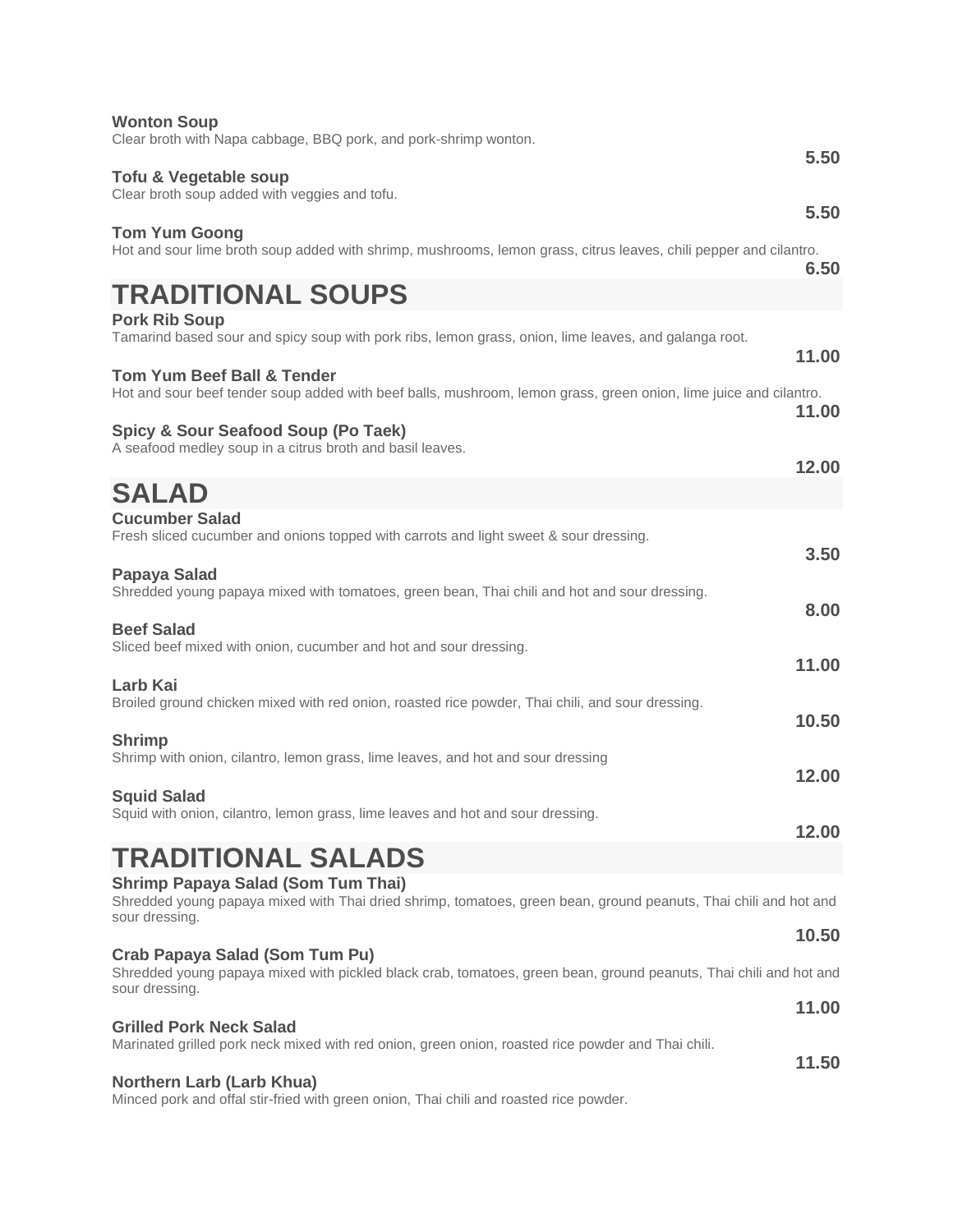| <b>Wonton Soup</b>                                                                                                                                         |       |
|------------------------------------------------------------------------------------------------------------------------------------------------------------|-------|
| Clear broth with Napa cabbage, BBQ pork, and pork-shrimp wonton.                                                                                           | 5.50  |
| Tofu & Vegetable soup<br>Clear broth soup added with veggies and tofu.                                                                                     |       |
| <b>Tom Yum Goong</b>                                                                                                                                       | 5.50  |
| Hot and sour lime broth soup added with shrimp, mushrooms, lemon grass, citrus leaves, chili pepper and cilantro.                                          | 6.50  |
| <b>TRADITIONAL SOUPS</b>                                                                                                                                   |       |
| <b>Pork Rib Soup</b>                                                                                                                                       |       |
| Tamarind based sour and spicy soup with pork ribs, lemon grass, onion, lime leaves, and galanga root.                                                      | 11.00 |
| <b>Tom Yum Beef Ball &amp; Tender</b><br>Hot and sour beef tender soup added with beef balls, mushroom, lemon grass, green onion, lime juice and cilantro. | 11.00 |
| Spicy & Sour Seafood Soup (Po Taek)                                                                                                                        |       |
| A seafood medley soup in a citrus broth and basil leaves.                                                                                                  | 12.00 |
| <b>SALAD</b>                                                                                                                                               |       |
| <b>Cucumber Salad</b><br>Fresh sliced cucumber and onions topped with carrots and light sweet & sour dressing.                                             |       |
|                                                                                                                                                            | 3.50  |
| Papaya Salad<br>Shredded young papaya mixed with tomatoes, green bean, Thai chili and hot and sour dressing.                                               |       |
| <b>Beef Salad</b>                                                                                                                                          | 8.00  |
| Sliced beef mixed with onion, cucumber and hot and sour dressing.                                                                                          |       |
| Larb Kai                                                                                                                                                   | 11.00 |
| Broiled ground chicken mixed with red onion, roasted rice powder, Thai chili, and sour dressing.                                                           | 10.50 |
| <b>Shrimp</b>                                                                                                                                              |       |
| Shrimp with onion, cilantro, lemon grass, lime leaves, and hot and sour dressing                                                                           | 12.00 |
| <b>Squid Salad</b><br>Squid with onion, cilantro, lemon grass, lime leaves and hot and sour dressing.                                                      |       |
|                                                                                                                                                            | 12.00 |
| <b>TRADITIONAL SALADS</b><br><b>Shrimp Papaya Salad (Som Tum Thai)</b>                                                                                     |       |
| Shredded young papaya mixed with Thai dried shrimp, tomatoes, green bean, ground peanuts, Thai chili and hot and<br>sour dressing.                         |       |
| Crab Papaya Salad (Som Tum Pu)                                                                                                                             | 10.50 |
| Shredded young papaya mixed with pickled black crab, tomatoes, green bean, ground peanuts, Thai chili and hot and<br>sour dressing.                        |       |
|                                                                                                                                                            | 11.00 |
| <b>Grilled Pork Neck Salad</b><br>Marinated grilled pork neck mixed with red onion, green onion, roasted rice powder and Thai chili.                       |       |
| Northern Larb (Larb Khua)                                                                                                                                  | 11.50 |
|                                                                                                                                                            |       |

Minced pork and offal stir-fried with green onion, Thai chili and roasted rice powder.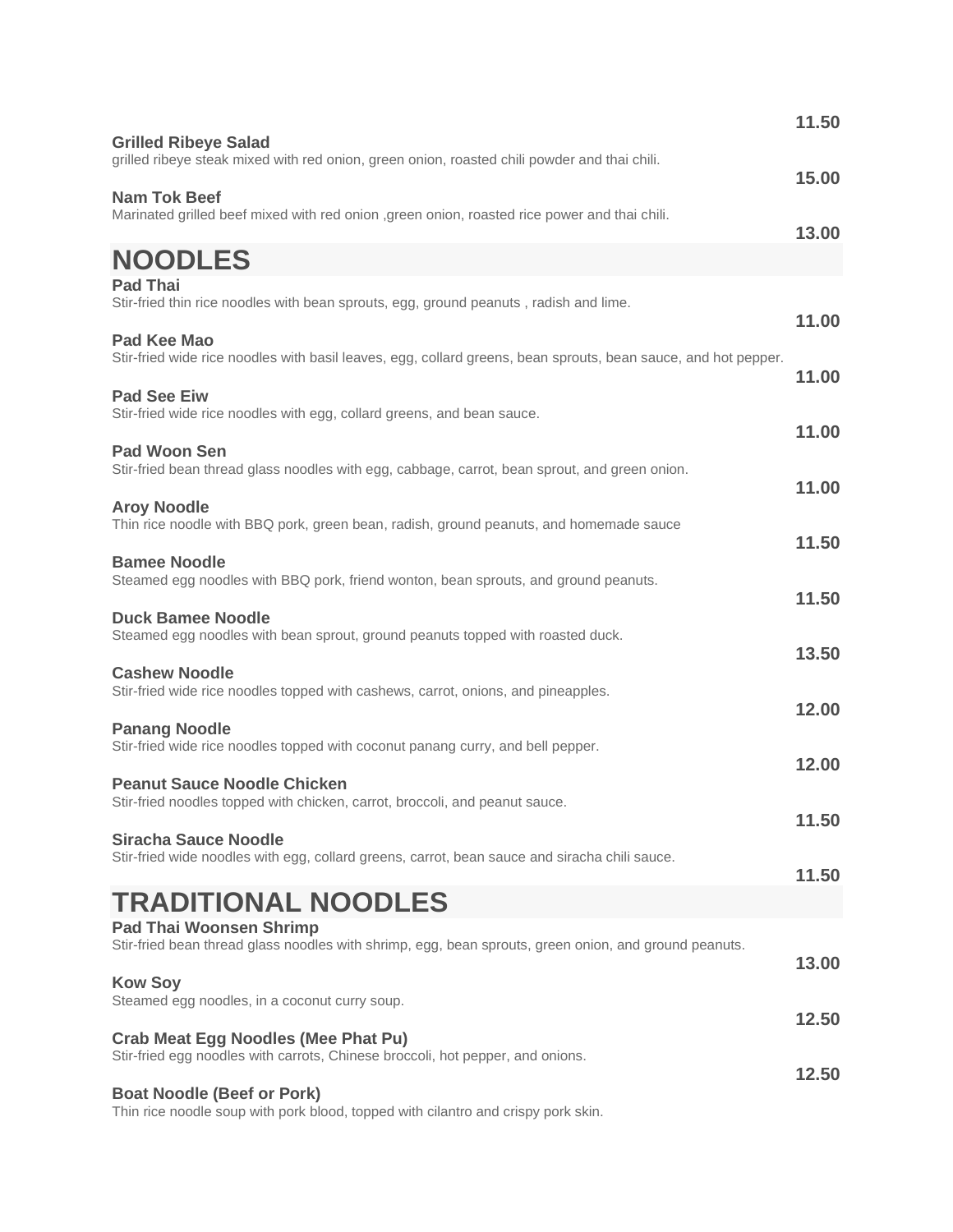| <b>Grilled Ribeye Salad</b>                                                                                                             | 11.50 |
|-----------------------------------------------------------------------------------------------------------------------------------------|-------|
| grilled ribeye steak mixed with red onion, green onion, roasted chili powder and thai chili.                                            | 15.00 |
| <b>Nam Tok Beef</b><br>Marinated grilled beef mixed with red onion , green onion, roasted rice power and thai chili.                    | 13.00 |
| <b>NOODLES</b>                                                                                                                          |       |
| <b>Pad Thai</b><br>Stir-fried thin rice noodles with bean sprouts, egg, ground peanuts, radish and lime.                                | 11.00 |
| <b>Pad Kee Mao</b><br>Stir-fried wide rice noodles with basil leaves, egg, collard greens, bean sprouts, bean sauce, and hot pepper.    | 11.00 |
| <b>Pad See Eiw</b><br>Stir-fried wide rice noodles with egg, collard greens, and bean sauce.                                            |       |
| <b>Pad Woon Sen</b><br>Stir-fried bean thread glass noodles with egg, cabbage, carrot, bean sprout, and green onion.                    | 11.00 |
| <b>Aroy Noodle</b><br>Thin rice noodle with BBQ pork, green bean, radish, ground peanuts, and homemade sauce                            | 11.00 |
| <b>Bamee Noodle</b><br>Steamed egg noodles with BBQ pork, friend wonton, bean sprouts, and ground peanuts.                              | 11.50 |
| <b>Duck Bamee Noodle</b>                                                                                                                | 11.50 |
| Steamed egg noodles with bean sprout, ground peanuts topped with roasted duck.                                                          | 13.50 |
| <b>Cashew Noodle</b><br>Stir-fried wide rice noodles topped with cashews, carrot, onions, and pineapples.                               | 12.00 |
| <b>Panang Noodle</b><br>Stir-fried wide rice noodles topped with coconut panang curry, and bell pepper.                                 | 12.00 |
| <b>Peanut Sauce Noodle Chicken</b><br>Stir-fried noodles topped with chicken, carrot, broccoli, and peanut sauce.                       |       |
| <b>Siracha Sauce Noodle</b><br>Stir-fried wide noodles with egg, collard greens, carrot, bean sauce and siracha chili sauce.            | 11.50 |
| <b>TRADITIONAL NOODLES</b>                                                                                                              | 11.50 |
| <b>Pad Thai Woonsen Shrimp</b><br>Stir-fried bean thread glass noodles with shrimp, egg, bean sprouts, green onion, and ground peanuts. | 13.00 |
| <b>Kow Soy</b><br>Steamed egg noodles, in a coconut curry soup.                                                                         |       |
| <b>Crab Meat Egg Noodles (Mee Phat Pu)</b><br>Stir-fried egg noodles with carrots, Chinese broccoli, hot pepper, and onions.            | 12.50 |
| <b>Boat Noodle (Beef or Pork)</b><br>Thin rice noodle soup with pork blood, topped with cilantro and crispy pork skin.                  | 12.50 |
|                                                                                                                                         |       |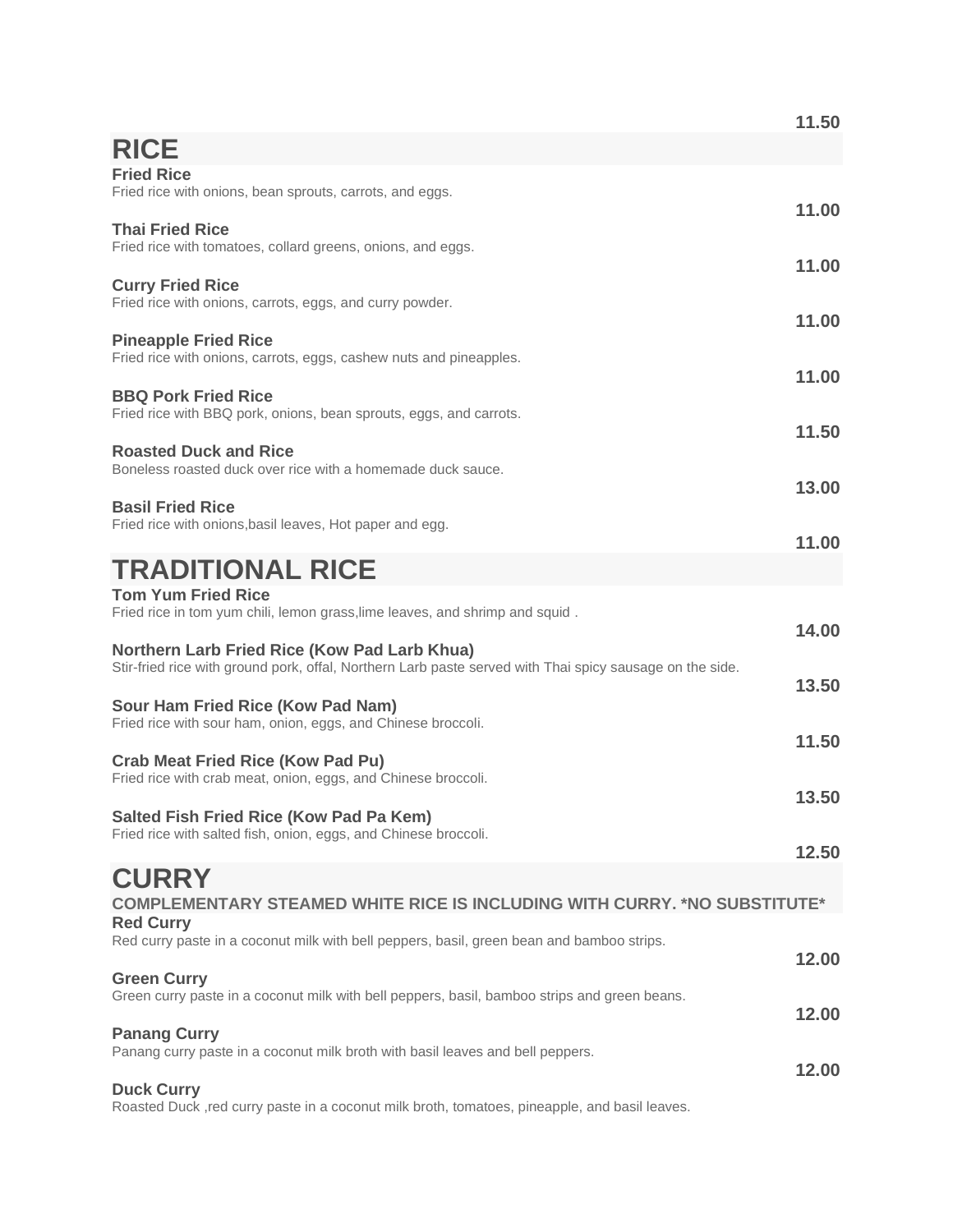|                                                                                                                                                                 | 11.50 |
|-----------------------------------------------------------------------------------------------------------------------------------------------------------------|-------|
| <b>RICE</b>                                                                                                                                                     |       |
| <b>Fried Rice</b><br>Fried rice with onions, bean sprouts, carrots, and eggs.                                                                                   | 11.00 |
| <b>Thai Fried Rice</b><br>Fried rice with tomatoes, collard greens, onions, and eggs.                                                                           | 11.00 |
| <b>Curry Fried Rice</b><br>Fried rice with onions, carrots, eggs, and curry powder.                                                                             | 11.00 |
| <b>Pineapple Fried Rice</b><br>Fried rice with onions, carrots, eggs, cashew nuts and pineapples.                                                               | 11.00 |
| <b>BBQ Pork Fried Rice</b><br>Fried rice with BBQ pork, onions, bean sprouts, eggs, and carrots.                                                                | 11.50 |
| <b>Roasted Duck and Rice</b><br>Boneless roasted duck over rice with a homemade duck sauce.                                                                     | 13.00 |
| <b>Basil Fried Rice</b><br>Fried rice with onions, basil leaves, Hot paper and egg.                                                                             | 11.00 |
| <b>TRADITIONAL RICE</b>                                                                                                                                         |       |
| <b>Tom Yum Fried Rice</b><br>Fried rice in tom yum chili, lemon grass, lime leaves, and shrimp and squid.                                                       | 14.00 |
| <b>Northern Larb Fried Rice (Kow Pad Larb Khua)</b><br>Stir-fried rice with ground pork, offal, Northern Larb paste served with Thai spicy sausage on the side. | 13.50 |
| Sour Ham Fried Rice (Kow Pad Nam)<br>Fried rice with sour ham, onion, eggs, and Chinese broccoli.                                                               | 11.50 |
| <b>Crab Meat Fried Rice (Kow Pad Pu)</b><br>Fried rice with crab meat, onion, eggs, and Chinese broccoli.                                                       | 13.50 |
| <b>Salted Fish Fried Rice (Kow Pad Pa Kem)</b><br>Fried rice with salted fish, onion, eggs, and Chinese broccoli.                                               | 12.50 |
| <b>CURRY</b><br><b>COMPLEMENTARY STEAMED WHITE RICE IS INCLUDING WITH CURRY. *NO SUBSTITUTE*</b><br><b>Red Curry</b>                                            |       |
| Red curry paste in a coconut milk with bell peppers, basil, green bean and bamboo strips.                                                                       | 12.00 |
| <b>Green Curry</b><br>Green curry paste in a coconut milk with bell peppers, basil, bamboo strips and green beans.                                              | 12.00 |
| <b>Panang Curry</b><br>Panang curry paste in a coconut milk broth with basil leaves and bell peppers.                                                           | 12.00 |
| <b>Duck Curry</b><br>Roasted Duck, red curry paste in a coconut milk broth, tomatoes, pineapple, and basil leaves.                                              |       |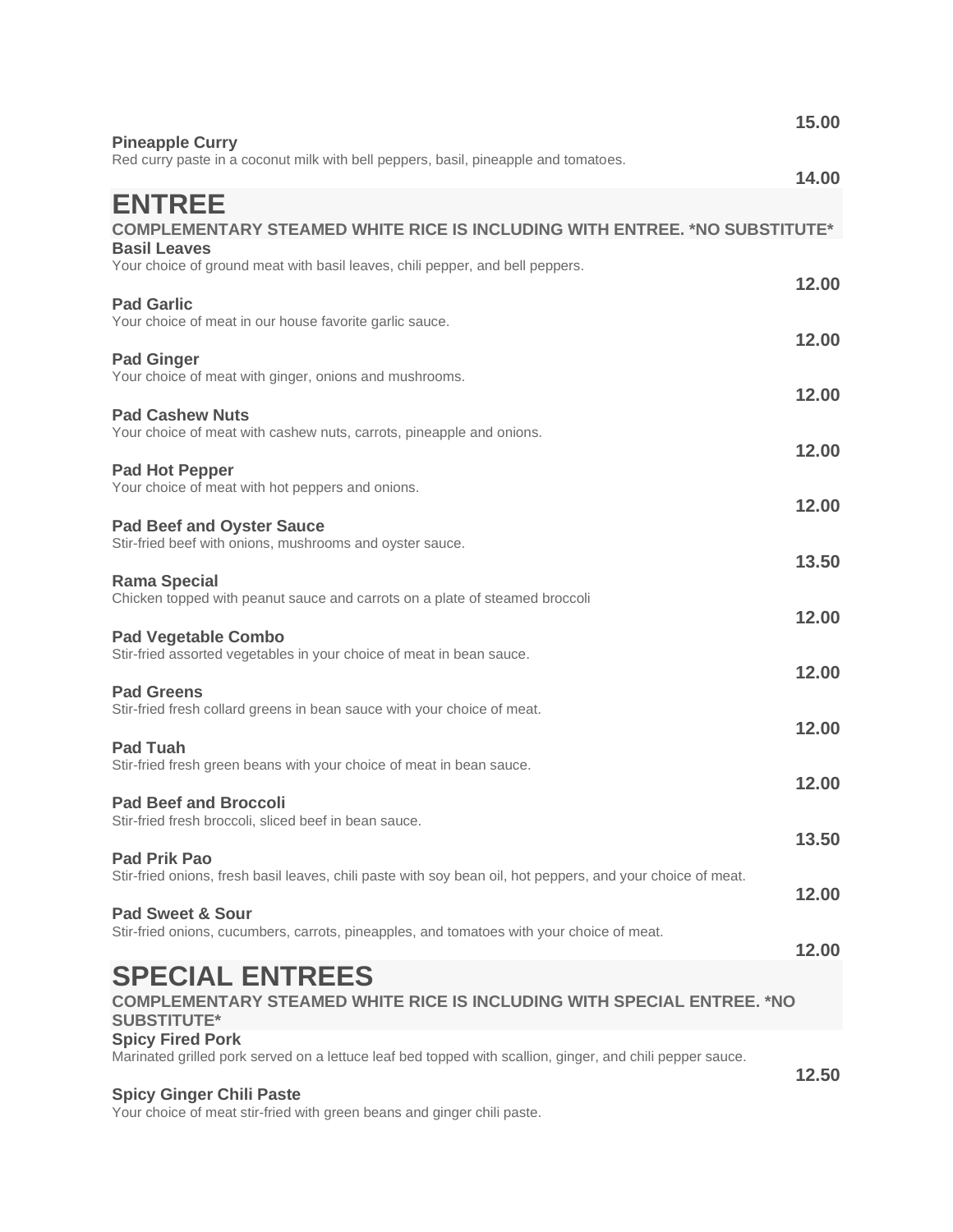| <b>Pineapple Curry</b>                                                                                                                                        | 15.00          |
|---------------------------------------------------------------------------------------------------------------------------------------------------------------|----------------|
| Red curry paste in a coconut milk with bell peppers, basil, pineapple and tomatoes.                                                                           | 14.00          |
| <b>ENTREE</b><br><b>COMPLEMENTARY STEAMED WHITE RICE IS INCLUDING WITH ENTREE. *NO SUBSTITUTE*</b><br><b>Basil Leaves</b>                                     |                |
| Your choice of ground meat with basil leaves, chili pepper, and bell peppers.<br><b>Pad Garlic</b><br>Your choice of meat in our house favorite garlic sauce. | 12.00          |
| <b>Pad Ginger</b><br>Your choice of meat with ginger, onions and mushrooms.                                                                                   | 12.00          |
| <b>Pad Cashew Nuts</b><br>Your choice of meat with cashew nuts, carrots, pineapple and onions.                                                                | 12.00<br>12.00 |
| <b>Pad Hot Pepper</b><br>Your choice of meat with hot peppers and onions.                                                                                     | 12.00          |
| <b>Pad Beef and Oyster Sauce</b><br>Stir-fried beef with onions, mushrooms and oyster sauce.                                                                  | 13.50          |
| <b>Rama Special</b><br>Chicken topped with peanut sauce and carrots on a plate of steamed broccoli                                                            | 12.00          |
| <b>Pad Vegetable Combo</b><br>Stir-fried assorted vegetables in your choice of meat in bean sauce.<br><b>Pad Greens</b>                                       | 12.00          |
| Stir-fried fresh collard greens in bean sauce with your choice of meat.<br><b>Pad Tuah</b>                                                                    | 12.00          |
| Stir-fried fresh green beans with your choice of meat in bean sauce.<br><b>Pad Beef and Broccoli</b>                                                          | 12.00          |
| Stir-fried fresh broccoli, sliced beef in bean sauce.<br><b>Pad Prik Pao</b>                                                                                  | 13.50          |
| Stir-fried onions, fresh basil leaves, chili paste with soy bean oil, hot peppers, and your choice of meat.<br><b>Pad Sweet &amp; Sour</b>                    | 12.00          |
| Stir-fried onions, cucumbers, carrots, pineapples, and tomatoes with your choice of meat.<br><b>SPECIAL ENTREES</b>                                           | 12.00          |
| <b>COMPLEMENTARY STEAMED WHITE RICE IS INCLUDING WITH SPECIAL ENTREE. *NO</b><br><b>SUBSTITUTE*</b>                                                           |                |
| <b>Spicy Fired Pork</b><br>Marinated grilled pork served on a lettuce leaf bed topped with scallion, ginger, and chili pepper sauce.                          | 12.50          |
| <b>Spicy Ginger Chili Paste</b>                                                                                                                               |                |

Your choice of meat stir-fried with green beans and ginger chili paste.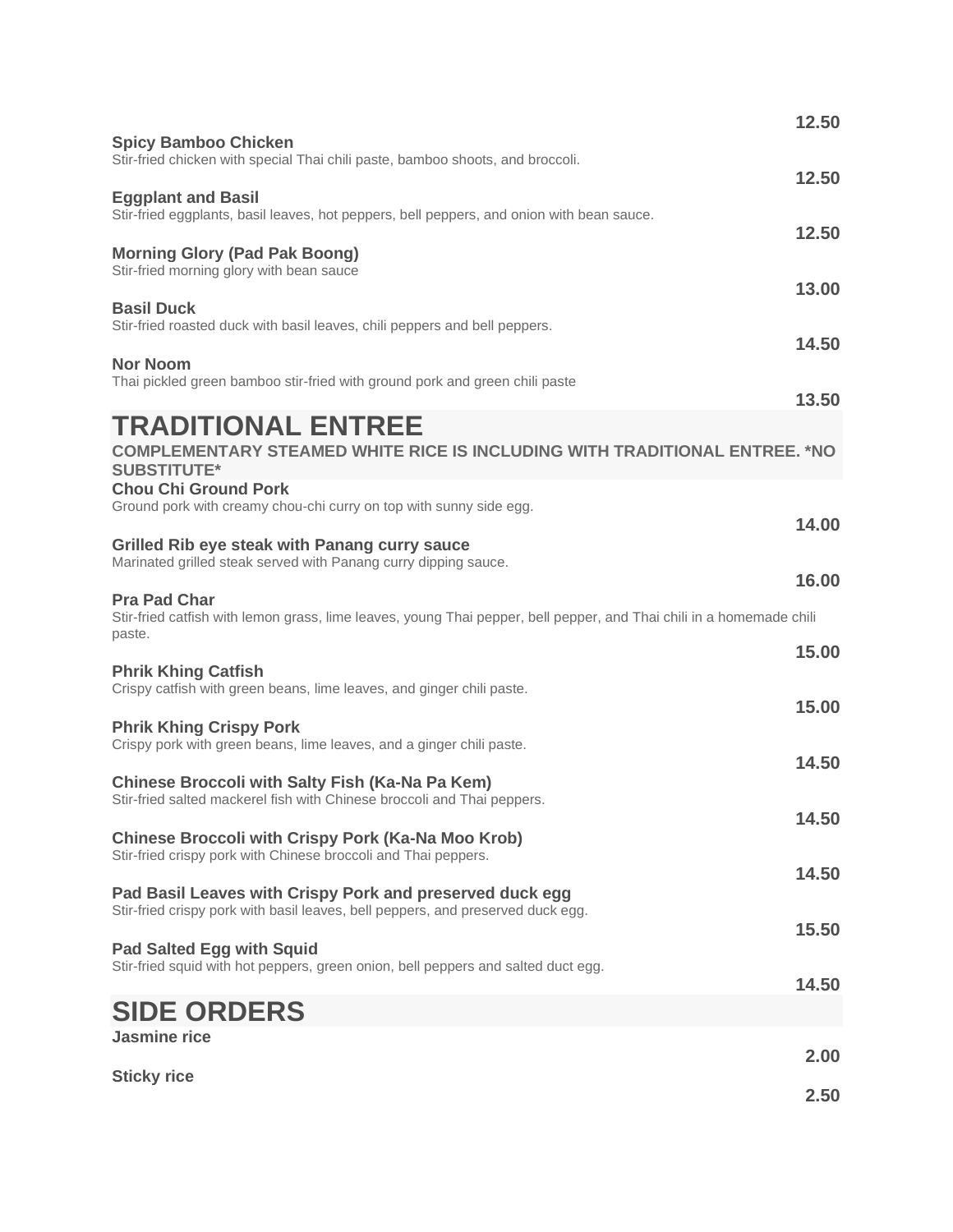|                                                                                                                                                       | 12.50 |
|-------------------------------------------------------------------------------------------------------------------------------------------------------|-------|
| <b>Spicy Bamboo Chicken</b><br>Stir-fried chicken with special Thai chili paste, bamboo shoots, and broccoli.                                         | 12.50 |
| <b>Eggplant and Basil</b><br>Stir-fried eggplants, basil leaves, hot peppers, bell peppers, and onion with bean sauce.                                |       |
| <b>Morning Glory (Pad Pak Boong)</b><br>Stir-fried morning glory with bean sauce                                                                      | 12.50 |
| <b>Basil Duck</b><br>Stir-fried roasted duck with basil leaves, chili peppers and bell peppers.                                                       | 13.00 |
| <b>Nor Noom</b>                                                                                                                                       | 14.50 |
| Thai pickled green bamboo stir-fried with ground pork and green chili paste                                                                           | 13.50 |
| <b>TRADITIONAL ENTREE</b><br><b>COMPLEMENTARY STEAMED WHITE RICE IS INCLUDING WITH TRADITIONAL ENTREE. *NO</b><br><b>SUBSTITUTE*</b>                  |       |
| <b>Chou Chi Ground Pork</b><br>Ground pork with creamy chou-chi curry on top with sunny side egg.                                                     | 14.00 |
| Grilled Rib eye steak with Panang curry sauce<br>Marinated grilled steak served with Panang curry dipping sauce.                                      |       |
| <b>Pra Pad Char</b><br>Stir-fried catfish with lemon grass, lime leaves, young Thai pepper, bell pepper, and Thai chili in a homemade chili<br>paste. | 16.00 |
|                                                                                                                                                       | 15.00 |
| <b>Phrik Khing Catfish</b><br>Crispy catfish with green beans, lime leaves, and ginger chili paste.                                                   | 15.00 |
| <b>Phrik Khing Crispy Pork</b><br>Crispy pork with green beans, lime leaves, and a ginger chili paste.                                                |       |
| <b>Chinese Broccoli with Salty Fish (Ka-Na Pa Kem)</b><br>Stir-fried salted mackerel fish with Chinese broccoli and Thai peppers.                     | 14.50 |
| <b>Chinese Broccoli with Crispy Pork (Ka-Na Moo Krob)</b>                                                                                             | 14.50 |
| Stir-fried crispy pork with Chinese broccoli and Thai peppers.                                                                                        | 14.50 |
| Pad Basil Leaves with Crispy Pork and preserved duck egg<br>Stir-fried crispy pork with basil leaves, bell peppers, and preserved duck egg.           | 15.50 |
| <b>Pad Salted Egg with Squid</b><br>Stir-fried squid with hot peppers, green onion, bell peppers and salted duct egg.                                 |       |
| <b>SIDE ORDERS</b>                                                                                                                                    | 14.50 |
| <b>Jasmine rice</b>                                                                                                                                   | 2.00  |
| <b>Sticky rice</b>                                                                                                                                    |       |
|                                                                                                                                                       | 2.50  |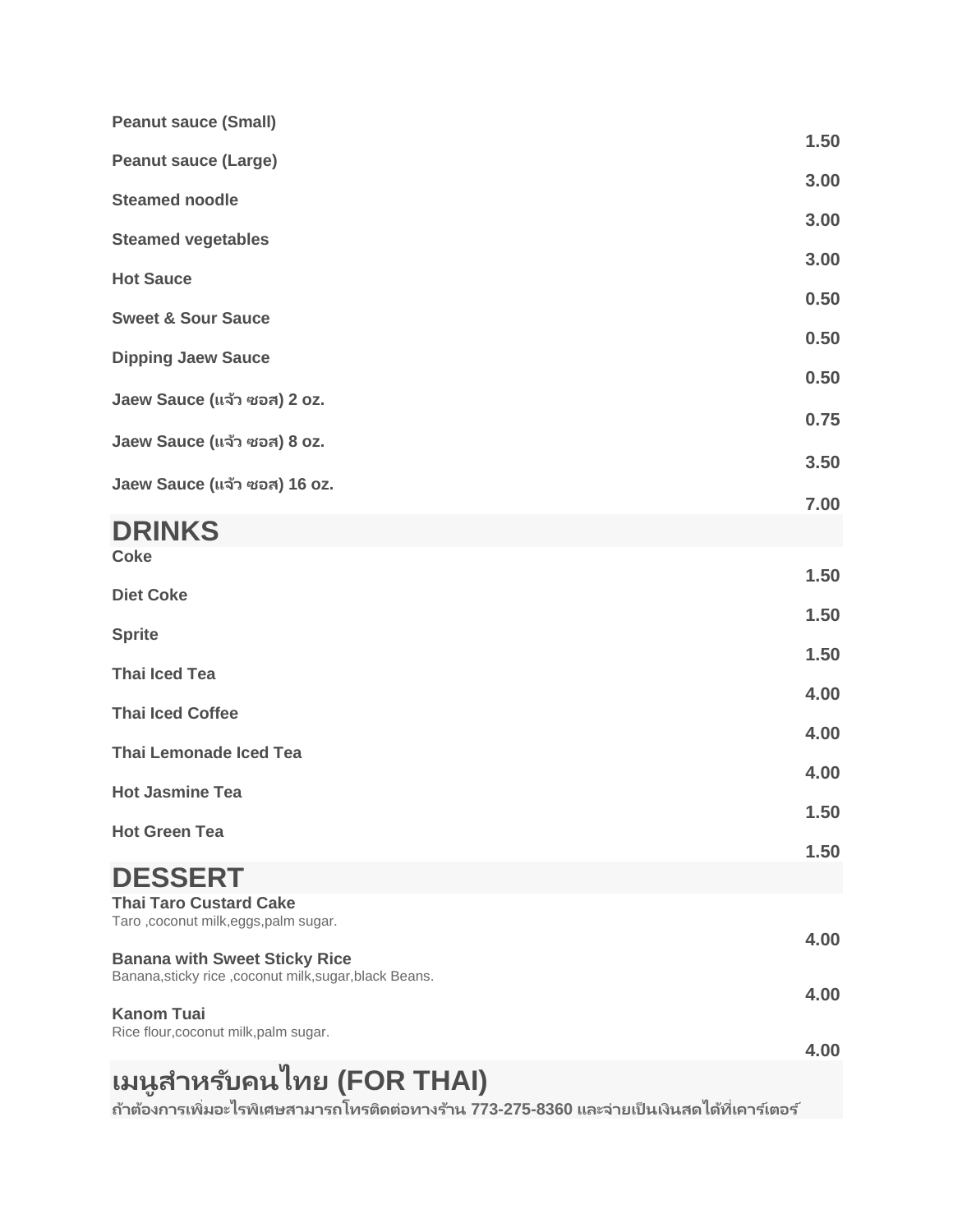| <b>Peanut sauce (Small)</b>                                            |      |
|------------------------------------------------------------------------|------|
| <b>Peanut sauce (Large)</b>                                            | 1.50 |
| <b>Steamed noodle</b>                                                  | 3.00 |
| <b>Steamed vegetables</b>                                              | 3.00 |
| <b>Hot Sauce</b>                                                       | 3.00 |
| <b>Sweet &amp; Sour Sauce</b>                                          | 0.50 |
| <b>Dipping Jaew Sauce</b>                                              | 0.50 |
| Jaew Sauce (แจ้ว ซอส) 2 oz.                                            | 0.50 |
| Jaew Sauce (แจ้ว ซอส) 8 oz.                                            | 0.75 |
| Jaew Sauce (แจ้ว ซอส) 16 oz.                                           | 3.50 |
|                                                                        | 7.00 |
| <b>DRINKS</b><br><b>Coke</b>                                           |      |
|                                                                        | 1.50 |
| <b>Diet Coke</b>                                                       | 1.50 |
| <b>Sprite</b>                                                          | 1.50 |
| <b>Thai Iced Tea</b>                                                   | 4.00 |
| <b>Thai Iced Coffee</b>                                                | 4.00 |
| <b>Thai Lemonade Iced Tea</b>                                          | 4.00 |
| <b>Hot Jasmine Tea</b>                                                 | 1.50 |
| <b>Hot Green Tea</b>                                                   | 1.50 |
| <b>DESSERT</b>                                                         |      |
| <b>Thai Taro Custard Cake</b><br>Taro, coconut milk, eggs, palm sugar. |      |
| <b>Banana with Sweet Sticky Rice</b>                                   | 4.00 |
| Banana, sticky rice, coconut milk, sugar, black Beans.                 | 4.00 |
| <b>Kanom Tuai</b><br>Rice flour, coconut milk, palm sugar.             |      |
| n                                                                      | 4.00 |

## **เมนูส ำหร ับคนไทย (FOR THAI)**

**ถำ้ตอ้ งกำรเพิม่ อะไรพเิศษสำมำรถโทรตดิตอ่ ทำงรำ้น 773-275-8360 และจำ่ ยเป็นเงินสดไดท้ ี เคำรเ์ตอร ์่**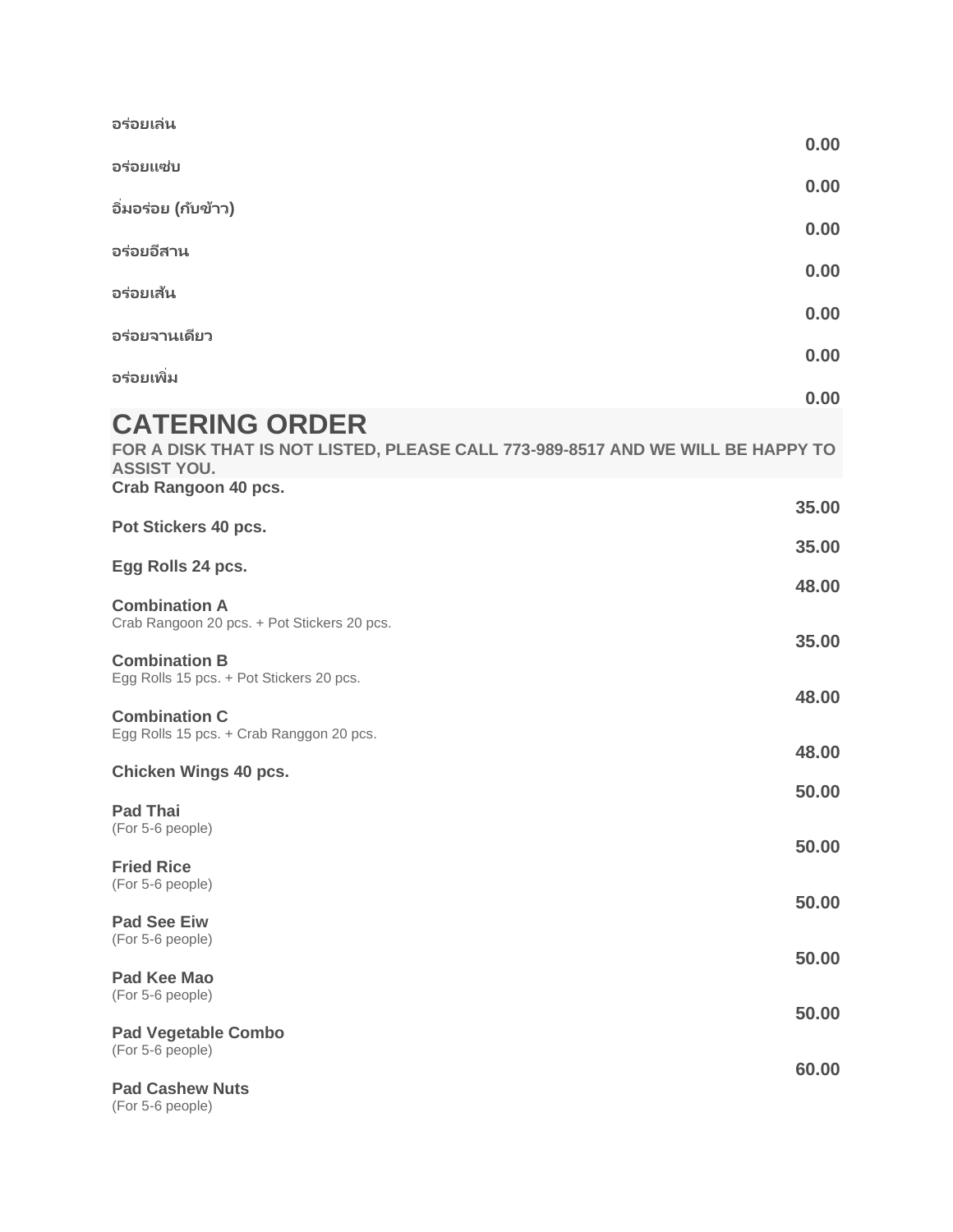| อร่อยเล่น                                                                                                                                              |                |
|--------------------------------------------------------------------------------------------------------------------------------------------------------|----------------|
|                                                                                                                                                        | 0.00           |
| อร่อยแซ่บ                                                                                                                                              | 0.00           |
| อิ่มอร่อย (กับข้าว)                                                                                                                                    | 0.00           |
| อร่อยอีสาน                                                                                                                                             |                |
| อร่อยเส้น                                                                                                                                              | 0.00           |
| อร่อยจานเดียว                                                                                                                                          | 0.00           |
| อร่อยเพิ่ม                                                                                                                                             | 0.00           |
|                                                                                                                                                        | 0.00           |
| <b>CATERING ORDER</b><br>FOR A DISK THAT IS NOT LISTED, PLEASE CALL 773-989-8517 AND WE WILL BE HAPPY TO<br><b>ASSIST YOU.</b><br>Crab Rangoon 40 pcs. |                |
| Pot Stickers 40 pcs.                                                                                                                                   | 35.00          |
| Egg Rolls 24 pcs.                                                                                                                                      | 35.00          |
| <b>Combination A</b><br>Crab Rangoon 20 pcs. + Pot Stickers 20 pcs.                                                                                    | 48.00          |
| <b>Combination B</b><br>Egg Rolls 15 pcs. + Pot Stickers 20 pcs.                                                                                       | 35.00<br>48.00 |
| <b>Combination C</b><br>Egg Rolls 15 pcs. + Crab Ranggon 20 pcs.                                                                                       | 48.00          |
| <b>Chicken Wings 40 pcs.</b>                                                                                                                           | 50.00          |
| <b>Pad Thai</b><br>(For 5-6 people)                                                                                                                    | 50.00          |
| <b>Fried Rice</b><br>(For 5-6 people)                                                                                                                  |                |
| <b>Pad See Eiw</b><br>(For 5-6 people)                                                                                                                 | 50.00          |
| Pad Kee Mao                                                                                                                                            | 50.00          |
| (For 5-6 people)<br><b>Pad Vegetable Combo</b>                                                                                                         | 50.00          |
| (For 5-6 people)                                                                                                                                       | 60.00          |
| <b>Pad Cashew Nuts</b><br>(For 5-6 people)                                                                                                             |                |